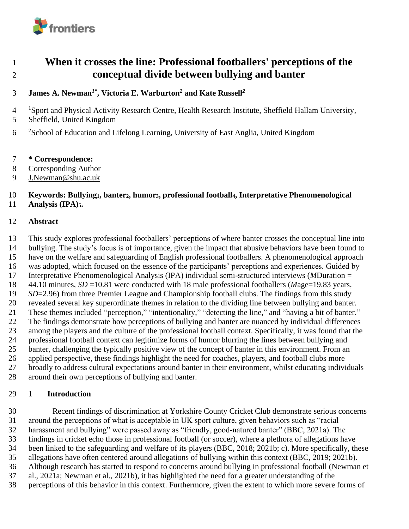

# **When it crosses the line: Professional footballers' perceptions of the conceptual divide between bullying and banter**

### **James A. Newman***1\****, Victoria E. Warburton***<sup>2</sup>* **and Kate Russell***<sup>2</sup>*

<sup>1</sup> Sport and Physical Activity Research Centre, Health Research Institute, Sheffield Hallam University,

- Sheffield, United Kingdom
- 6 <sup>2</sup>School of Education and Lifelong Learning, University of East Anglia, United Kingdom
- **\* Correspondence:**
- Corresponding Author
- [J.Newman@shu.ac.uk](mailto:J.Newman@shu.ac.uk)

#### **Keywords: Bullying1, banter2, humor3, professional football4, Interpretative Phenomenological Analysis (IPA)5.**

#### **Abstract**

 This study explores professional footballers' perceptions of where banter crosses the conceptual line into bullying. The study's focus is of importance, given the impact that abusive behaviors have been found to have on the welfare and safeguarding of English professional footballers. A phenomenological approach was adopted, which focused on the essence of the participants' perceptions and experiences. Guided by Interpretative Phenomenological Analysis (IPA) individual semi-structured interviews (*M*Duration = 44.10 minutes, *SD* =10.81 were conducted with 18 male professional footballers (*M*age=19.83 years, *SD*=2.96) from three Premier League and Championship football clubs. The findings from this study revealed several key superordinate themes in relation to the dividing line between bullying and banter. These themes included "perception," "intentionality," "detecting the line," and "having a bit of banter." The findings demonstrate how perceptions of bullying and banter are nuanced by individual differences among the players and the culture of the professional football context. Specifically, it was found that the professional football context can legitimize forms of humor blurring the lines between bullying and banter, challenging the typically positive view of the concept of banter in this environment. From an applied perspective, these findings highlight the need for coaches, players, and football clubs more broadly to address cultural expectations around banter in their environment, whilst educating individuals around their own perceptions of bullying and banter.

#### **1 Introduction**

 Recent findings of discrimination at Yorkshire County Cricket Club demonstrate serious concerns around the perceptions of what is acceptable in UK sport culture, given behaviors such as "racial harassment and bullying" were passed away as "friendly, good-natured banter" (BBC, 2021a). The findings in cricket echo those in professional football (or soccer), where a plethora of allegations have been linked to the safeguarding and welfare of its players (BBC, 2018; 2021b; c). More specifically, these allegations have often centered around allegations of bullying within this context (BBC, 2019; 2021b). Although research has started to respond to concerns around bullying in professional football (Newman et al., 2021a; Newman et al., 2021b), it has highlighted the need for a greater understanding of the perceptions of this behavior in this context. Furthermore, given the extent to which more severe forms of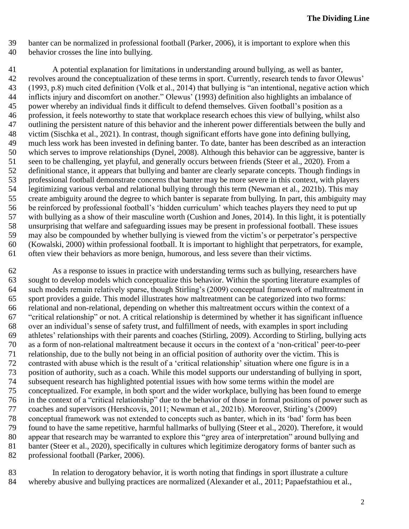- banter can be normalized in professional football (Parker, 2006), it is important to explore when this
- behavior crosses the line into bullying.

 A potential explanation for limitations in understanding around bullying, as well as banter, revolves around the conceptualization of these terms in sport. Currently, research tends to favor Olewus' (1993, p.8) much cited definition (Volk et al., 2014) that bullying is "an intentional, negative action which inflicts injury and discomfort on another." Olewus' (1993) definition also highlights an imbalance of power whereby an individual finds it difficult to defend themselves. Given football's position as a profession, it feels noteworthy to state that workplace research echoes this view of bullying, whilst also outlining the persistent nature of this behavior and the inherent power differentials between the bully and victim (Sischka et al., 2021). In contrast, though significant efforts have gone into defining bullying, much less work has been invested in defining banter. To date, banter has been described as an interaction which serves to improve relationships (Dynel, 2008). Although this behavior can be aggressive, banter is seen to be challenging, yet playful, and generally occurs between friends (Steer et al., 2020). From a definitional stance, it appears that bullying and banter are clearly separate concepts. Though findings in professional football demonstrate concerns that banter may be more severe in this context, with players legitimizing various verbal and relational bullying through this term (Newman et al., 2021b). This may create ambiguity around the degree to which banter is separate from bullying. In part, this ambiguity may be reinforced by professional football's 'hidden curriculum' which teaches players they need to put up with bullying as a show of their masculine worth (Cushion and Jones, 2014). In this light, it is potentially unsurprising that welfare and safeguarding issues may be present in professional football. These issues may also be compounded by whether bullying is viewed from the victim's or perpetrator's perspective (Kowalski, 2000) within professional football. It is important to highlight that perpetrators, for example, often view their behaviors as more benign, humorous, and less severe than their victims.

 As a response to issues in practice with understanding terms such as bullying, researchers have sought to develop models which conceptualize this behavior. Within the sporting literature examples of such models remain relatively sparse, though Stirling's (2009) conceptual framework of maltreatment in sport provides a guide. This model illustrates how maltreatment can be categorized into two forms: relational and non-relational, depending on whether this maltreatment occurs within the context of a "critical relationship" or not. A critical relationship is determined by whether it has significant influence over an individual's sense of safety trust, and fulfillment of needs, with examples in sport including athletes' relationships with their parents and coaches (Stirling, 2009). According to Stirling, bullying acts as a form of non-relational maltreatment because it occurs in the context of a 'non-critical' peer-to-peer relationship, due to the bully not being in an official position of authority over the victim. This is contrasted with abuse which is the result of a 'critical relationship' situation where one figure is in a position of authority, such as a coach. While this model supports our understanding of bullying in sport, subsequent research has highlighted potential issues with how some terms within the model are conceptualized. For example, in both sport and the wider workplace, bullying has been found to emerge in the context of a "critical relationship" due to the behavior of those in formal positions of power such as coaches and supervisors (Hershcovis, 2011; Newman et al., 2021b). Moreover, Stirling's (2009) conceptual framework was not extended to concepts such as banter, which in its 'bad' form has been found to have the same repetitive, harmful hallmarks of bullying (Steer et al., 2020). Therefore, it would appear that research may be warranted to explore this "grey area of interpretation" around bullying and banter (Steer et al., 2020), specifically in cultures which legitimize derogatory forms of banter such as professional football (Parker, 2006).

 In relation to derogatory behavior, it is worth noting that findings in sport illustrate a culture whereby abusive and bullying practices are normalized (Alexander et al., 2011; Papaefstathiou et al.,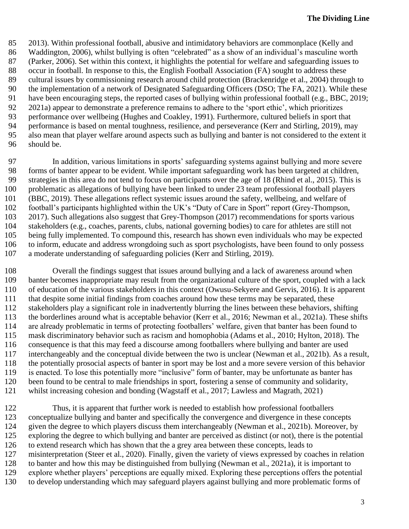2013). Within professional football, abusive and intimidatory behaviors are commonplace (Kelly and Waddington, 2006), whilst bullying is often "celebrated" as a show of an individual's masculine worth (Parker, 2006). Set within this context, it highlights the potential for welfare and safeguarding issues to occur in football. In response to this, the English Football Association (FA) sought to address these cultural issues by commissioning research around child protection (Brackenridge et al., 2004) through to the implementation of a network of Designated Safeguarding Officers (DSO; The FA, 2021). While these have been encouraging steps, the reported cases of bullying within professional football (e.g., BBC, 2019; 2021a) appear to demonstrate a preference remains to adhere to the 'sport ethic', which prioritizes performance over wellbeing (Hughes and Coakley, 1991). Furthermore, cultured beliefs in sport that performance is based on mental toughness, resilience, and perseverance (Kerr and Stirling, 2019), may also mean that player welfare around aspects such as bullying and banter is not considered to the extent it should be.

 In addition, various limitations in sports' safeguarding systems against bullying and more severe forms of banter appear to be evident. While important safeguarding work has been targeted at children, strategies in this area do not tend to focus on participants over the age of 18 (Rhind et al., 2015). This is problematic as allegations of bullying have been linked to under 23 team professional football players (BBC, 2019). These allegations reflect systemic issues around the safety, wellbeing, and welfare of football's participants highlighted within the UK's "Duty of Care in Sport" report (Grey-Thompson, 2017). Such allegations also suggest that Grey-Thompson (2017) recommendations for sports various stakeholders (e.g., coaches, parents, clubs, national governing bodies) to care for athletes are still not being fully implemented. To compound this, research has shown even individuals who may be expected to inform, educate and address wrongdoing such as sport psychologists, have been found to only possess a moderate understanding of safeguarding policies (Kerr and Stirling, 2019).

 Overall the findings suggest that issues around bullying and a lack of awareness around when banter becomes inappropriate may result from the organizational culture of the sport, coupled with a lack of education of the various stakeholders in this context (Owusu-Sekyere and Gervis, 2016). It is apparent that despite some initial findings from coaches around how these terms may be separated, these stakeholders play a significant role in inadvertently blurring the lines between these behaviors, shifting the borderlines around what is acceptable behavior (Kerr et al., 2016; Newman et al., 2021a). These shifts are already problematic in terms of protecting footballers' welfare, given that banter has been found to mask discriminatory behavior such as racism and homophobia (Adams et al., 2010; Hylton, 2018). The consequence is that this may feed a discourse among footballers where bullying and banter are used interchangeably and the conceptual divide between the two is unclear (Newman et al., 2021b). As a result, the potentially prosocial aspects of banter in sport may be lost and a more severe version of this behavior is enacted. To lose this potentially more "inclusive" form of banter, may be unfortunate as banter has been found to be central to male friendships in sport, fostering a sense of community and solidarity, whilst increasing cohesion and bonding (Wagstaff et al., 2017; Lawless and Magrath, 2021)

 Thus, it is apparent that further work is needed to establish how professional footballers conceptualize bullying and banter and specifically the convergence and divergence in these concepts given the degree to which players discuss them interchangeably (Newman et al., 2021b). Moreover, by exploring the degree to which bullying and banter are perceived as distinct (or not), there is the potential to extend research which has shown that the a grey area between these concepts, leads to misinterpretation (Steer et al., 2020). Finally, given the variety of views expressed by coaches in relation to banter and how this may be distinguished from bullying (Newman et al., 2021a), it is important to explore whether players' perceptions are equally mixed. Exploring these perceptions offers the potential to develop understanding which may safeguard players against bullying and more problematic forms of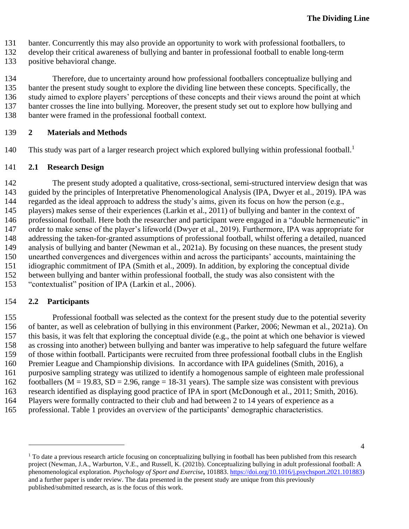- banter. Concurrently this may also provide an opportunity to work with professional footballers, to
- develop their critical awareness of bullying and banter in professional football to enable long-term
- positive behavioral change.

 Therefore, due to uncertainty around how professional footballers conceptualize bullying and banter the present study sought to explore the dividing line between these concepts. Specifically, the study aimed to explore players' perceptions of these concepts and their views around the point at which banter crosses the line into bullying. Moreover, the present study set out to explore how bullying and banter were framed in the professional football context.

#### **2 Materials and Methods**

This study was part of a larger research project which explored bullying within professional football.<sup>1</sup> 

#### **2.1 Research Design**

 The present study adopted a qualitative, cross-sectional, semi-structured interview design that was guided by the principles of Interpretative Phenomenological Analysis (IPA, Dwyer et al., 2019). IPA was regarded as the ideal approach to address the study's aims, given its focus on how the person (e.g., players) makes sense of their experiences (Larkin et al., 2011) of bullying and banter in the context of professional football. Here both the researcher and participant were engaged in a "double hermeneutic" in order to make sense of the player's lifeworld (Dwyer et al., 2019). Furthermore, IPA was appropriate for addressing the taken-for-granted assumptions of professional football, whilst offering a detailed, nuanced analysis of bullying and banter (Newman et al., 2021a). By focusing on these nuances, the present study unearthed convergences and divergences within and across the participants' accounts, maintaining the idiographic commitment of IPA (Smith et al., 2009). In addition, by exploring the conceptual divide between bullying and banter within professional football, the study was also consistent with the "contextualist" position of IPA (Larkin et al., 2006).

#### **2.2 Participants**

 Professional football was selected as the context for the present study due to the potential severity of banter, as well as celebration of bullying in this environment (Parker, 2006; Newman et al., 2021a). On this basis, it was felt that exploring the conceptual divide (e.g., the point at which one behavior is viewed as crossing into another) between bullying and banter was imperative to help safeguard the future welfare of those within football. Participants were recruited from three professional football clubs in the English Premier League and Championship divisions. In accordance with IPA guidelines (Smith, 2016), a purposive sampling strategy was utilized to identify a homogenous sample of eighteen male professional 162 footballers ( $M = 19.83$ ,  $SD = 2.96$ , range = 18-31 years). The sample size was consistent with previous research identified as displaying good practice of IPA in sport (McDonough et al., 2011; Smith, 2016). Players were formally contracted to their club and had between 2 to 14 years of experience as a

professional. Table 1 provides an overview of the participants' demographic characteristics.

 To date a previous research article focusing on conceptualizing bullying in football has been published from this research project (Newman, J.A., Warburton, V.E., and Russell, K. (2021b). Conceptualizing bullying in adult professional football: A phenomenological exploration. *Psychology of Sport and Exercise***,** 101883. [https://doi.org/10.1016/j.psychsport.2021.101883\)](https://doi.org/10.1016/j.psychsport.2021.101883) and a further paper is under review. The data presented in the present study are unique from this previously published/submitted research, as is the focus of this work.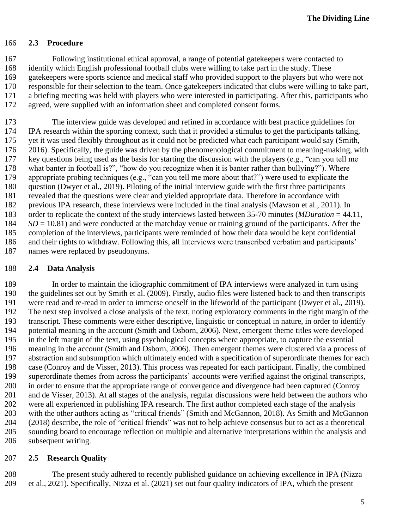#### **2.3 Procedure**

 Following institutional ethical approval, a range of potential gatekeepers were contacted to identify which English professional football clubs were willing to take part in the study. These gatekeepers were sports science and medical staff who provided support to the players but who were not responsible for their selection to the team. Once gatekeepers indicated that clubs were willing to take part, a briefing meeting was held with players who were interested in participating. After this, participants who agreed, were supplied with an information sheet and completed consent forms.

 The interview guide was developed and refined in accordance with best practice guidelines for IPA research within the sporting context, such that it provided a stimulus to get the participants talking, yet it was used flexibly throughout as it could not be predicted what each participant would say (Smith, 2016). Specifically, the guide was driven by the phenomenological commitment to meaning-making, with key questions being used as the basis for starting the discussion with the players (e.g., "can you tell me what banter in football is?", "how do you recognize when it is banter rather than bullying?"). Where appropriate probing techniques (e.g., "can you tell me more about that?") were used to explicate the question (Dwyer et al., 2019). Piloting of the initial interview guide with the first three participants revealed that the questions were clear and yielded appropriate data. Therefore in accordance with previous IPA research, these interviews were included in the final analysis (Mawson et al., 2011). In order to replicate the context of the study interviews lasted between 35-70 minutes (*MDuration* = 44.11, *SD* = 10.81) and were conducted at the matchday venue or training ground of the participants. After the completion of the interviews, participants were reminded of how their data would be kept confidential and their rights to withdraw. Following this, all interviews were transcribed verbatim and participants' names were replaced by pseudonyms.

#### **2.4 Data Analysis**

 In order to maintain the idiographic commitment of IPA interviews were analyzed in turn using the guidelines set out by Smith et al. (2009). Firstly, audio files were listened back to and then transcripts were read and re-read in order to immerse oneself in the lifeworld of the participant (Dwyer et al., 2019). The next step involved a close analysis of the text, noting exploratory comments in the right margin of the transcript. These comments were either descriptive, linguistic or conceptual in nature, in order to identify potential meaning in the account (Smith and Osborn, 2006). Next, emergent theme titles were developed in the left margin of the text, using psychological concepts where appropriate, to capture the essential meaning in the account (Smith and Osborn, 2006). Then emergent themes were clustered via a process of abstraction and subsumption which ultimately ended with a specification of superordinate themes for each case (Conroy and de Visser, 2013). This process was repeated for each participant. Finally, the combined superordinate themes from across the participants' accounts were verified against the original transcripts, in order to ensure that the appropriate range of convergence and divergence had been captured (Conroy and de Visser, 2013). At all stages of the analysis, regular discussions were held between the authors who were all experienced in publishing IPA research. The first author completed each stage of the analysis with the other authors acting as "critical friends" (Smith and McGannon, 2018). As Smith and McGannon (2018) describe, the role of "critical friends" was not to help achieve consensus but to act as a theoretical sounding board to encourage reflection on multiple and alternative interpretations within the analysis and subsequent writing.

#### **2.5 Research Quality**

 The present study adhered to recently published guidance on achieving excellence in IPA (Nizza et al., 2021). Specifically, Nizza et al. (2021) set out four quality indicators of IPA, which the present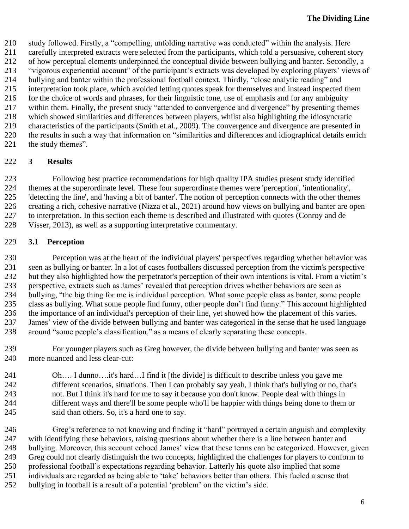study followed. Firstly, a "compelling, unfolding narrative was conducted" within the analysis. Here

carefully interpreted extracts were selected from the participants, which told a persuasive, coherent story

 of how perceptual elements underpinned the conceptual divide between bullying and banter. Secondly, a "vigorous experiential account" of the participant's extracts was developed by exploring players' views of

bullying and banter within the professional football context. Thirdly, "close analytic reading" and

interpretation took place, which avoided letting quotes speak for themselves and instead inspected them

for the choice of words and phrases, for their linguistic tone, use of emphasis and for any ambiguity

within them. Finally, the present study "attended to convergence and divergence" by presenting themes

which showed similarities and differences between players, whilst also highlighting the idiosyncratic

 characteristics of the participants (Smith et al., 2009). The convergence and divergence are presented in the results in such a way that information on "similarities and differences and idiographical details enrich

221 the study themes".

## **3 Results**

 Following best practice recommendations for high quality IPA studies present study identified themes at the superordinate level. These four superordinate themes were 'perception', 'intentionality', 'detecting the line', and 'having a bit of banter'. The notion of perception connects with the other themes creating a rich, cohesive narrative (Nizza et al., 2021) around how views on bullying and banter are open to interpretation. In this section each theme is described and illustrated with quotes (Conroy and de Visser, 2013), as well as a supporting interpretative commentary.

## **3.1 Perception**

 Perception was at the heart of the individual players' perspectives regarding whether behavior was seen as bullying or banter. In a lot of cases footballers discussed perception from the victim's perspective but they also highlighted how the perpetrator's perception of their own intentions is vital. From a victim's perspective, extracts such as James' revealed that perception drives whether behaviors are seen as bullying, "the big thing for me is individual perception. What some people class as banter, some people class as bullying. What some people find funny, other people don't find funny." This account highlighted the importance of an individual's perception of their line, yet showed how the placement of this varies. James' view of the divide between bullying and banter was categorical in the sense that he used language around "some people's classification," as a means of clearly separating these concepts.

 For younger players such as Greg however, the divide between bullying and banter was seen as more nuanced and less clear-cut:

 Oh…. I dunno….it's hard…I find it [the divide] is difficult to describe unless you gave me different scenarios, situations. Then I can probably say yeah, I think that's bullying or no, that's not. But I think it's hard for me to say it because you don't know. People deal with things in different ways and there'll be some people who'll be happier with things being done to them or said than others. So, it's a hard one to say.

 Greg's reference to not knowing and finding it "hard" portrayed a certain anguish and complexity with identifying these behaviors, raising questions about whether there is a line between banter and bullying. Moreover, this account echoed James' view that these terms can be categorized. However, given Greg could not clearly distinguish the two concepts, highlighted the challenges for players to conform to professional football's expectations regarding behavior. Latterly his quote also implied that some individuals are regarded as being able to 'take' behaviors better than others. This fueled a sense that

bullying in football is a result of a potential 'problem' on the victim's side.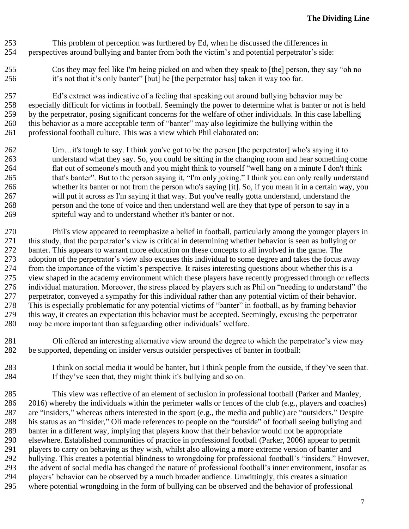- This problem of perception was furthered by Ed, when he discussed the differences in perspectives around bullying and banter from both the victim's and potential perpetrator's side:
- Cos they may feel like I'm being picked on and when they speak to [the] person, they say "oh no it's not that it's only banter" [but] he [the perpetrator has] taken it way too far.

 Ed's extract was indicative of a feeling that speaking out around bullying behavior may be especially difficult for victims in football. Seemingly the power to determine what is banter or not is held by the perpetrator, posing significant concerns for the welfare of other individuals. In this case labelling this behavior as a more acceptable term of "banter" may also legitimize the bullying within the professional football culture. This was a view which Phil elaborated on:

 Um…it's tough to say. I think you've got to be the person [the perpetrator] who's saying it to understand what they say. So, you could be sitting in the changing room and hear something come flat out of someone's mouth and you might think to yourself "well hang on a minute I don't think that's banter". But to the person saying it, "I'm only joking." I think you can only really understand whether its banter or not from the person who's saying [it]. So, if you mean it in a certain way, you will put it across as I'm saying it that way. But you've really gotta understand, understand the person and the tone of voice and then understand well are they that type of person to say in a spiteful way and to understand whether it's banter or not.

 Phil's view appeared to reemphasize a belief in football, particularly among the younger players in this study, that the perpetrator's view is critical in determining whether behavior is seen as bullying or banter. This appears to warrant more education on these concepts to all involved in the game. The adoption of the perpetrator's view also excuses this individual to some degree and takes the focus away from the importance of the victim's perspective. It raises interesting questions about whether this is a view shaped in the academy environment which these players have recently progressed through or reflects individual maturation. Moreover, the stress placed by players such as Phil on "needing to understand" the perpetrator, conveyed a sympathy for this individual rather than any potential victim of their behavior. This is especially problematic for any potential victims of "banter" in football, as by framing behavior this way, it creates an expectation this behavior must be accepted. Seemingly, excusing the perpetrator may be more important than safeguarding other individuals' welfare.

- Oli offered an interesting alternative view around the degree to which the perpetrator's view may be supported, depending on insider versus outsider perspectives of banter in football:
- I think on social media it would be banter, but I think people from the outside, if they've seen that. If they've seen that, they might think it's bullying and so on.

 This view was reflective of an element of seclusion in professional football (Parker and Manley, 2016) whereby the individuals within the perimeter walls or fences of the club (e.g., players and coaches) are "insiders," whereas others interested in the sport (e.g., the media and public) are "outsiders." Despite his status as an "insider," Oli made references to people on the "outside" of football seeing bullying and banter in a different way, implying that players know that their behavior would not be appropriate elsewhere. Established communities of practice in professional football (Parker, 2006) appear to permit players to carry on behaving as they wish, whilst also allowing a more extreme version of banter and bullying. This creates a potential blindness to wrongdoing for professional football's "insiders." However, the advent of social media has changed the nature of professional football's inner environment, insofar as players' behavior can be observed by a much broader audience. Unwittingly, this creates a situation where potential wrongdoing in the form of bullying can be observed and the behavior of professional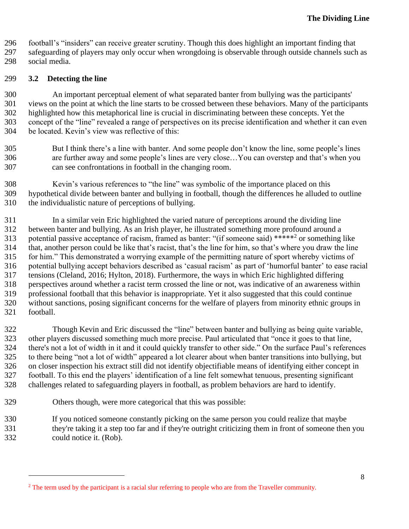football's "insiders" can receive greater scrutiny. Though this does highlight an important finding that

safeguarding of players may only occur when wrongdoing is observable through outside channels such as

social media.

#### **3.2 Detecting the line**

 An important perceptual element of what separated banter from bullying was the participants' views on the point at which the line starts to be crossed between these behaviors. Many of the participants highlighted how this metaphorical line is crucial in discriminating between these concepts. Yet the concept of the "line" revealed a range of perspectives on its precise identification and whether it can even be located. Kevin's view was reflective of this:

- But I think there's a line with banter. And some people don't know the line, some people's lines are further away and some people's lines are very close…You can overstep and that's when you can see confrontations in football in the changing room.
- Kevin's various references to "the line" was symbolic of the importance placed on this hypothetical divide between banter and bullying in football, though the differences he alluded to outline the individualistic nature of perceptions of bullying.

 In a similar vein Eric highlighted the varied nature of perceptions around the dividing line between banter and bullying. As an Irish player, he illustrated something more profound around a 313 potential passive acceptance of racism, framed as banter: "(if someone said) \*\*\*\*\*<sup>2</sup> or something like that, another person could be like that's racist, that's the line for him, so that's where you draw the line for him." This demonstrated a worrying example of the permitting nature of sport whereby victims of potential bullying accept behaviors described as 'casual racism' as part of 'humorful banter' to ease racial tensions (Cleland, 2016; Hylton, 2018). Furthermore, the ways in which Eric highlighted differing perspectives around whether a racist term crossed the line or not, was indicative of an awareness within professional football that this behavior is inappropriate. Yet it also suggested that this could continue without sanctions, posing significant concerns for the welfare of players from minority ethnic groups in football.

 Though Kevin and Eric discussed the "line" between banter and bullying as being quite variable, other players discussed something much more precise. Paul articulated that "once it goes to that line, there's not a lot of width in it and it could quickly transfer to other side." On the surface Paul's references to there being "not a lot of width" appeared a lot clearer about when banter transitions into bullying, but on closer inspection his extract still did not identify objectifiable means of identifying either concept in football. To this end the players' identification of a line felt somewhat tenuous, presenting significant challenges related to safeguarding players in football, as problem behaviors are hard to identify.

- Others though, were more categorical that this was possible:
- If you noticed someone constantly picking on the same person you could realize that maybe
- they're taking it a step too far and if they're outright criticizing them in front of someone then you
	- could notice it. (Rob).

<sup>&</sup>lt;sup>2</sup> The term used by the participant is a racial slur referring to people who are from the Traveller community.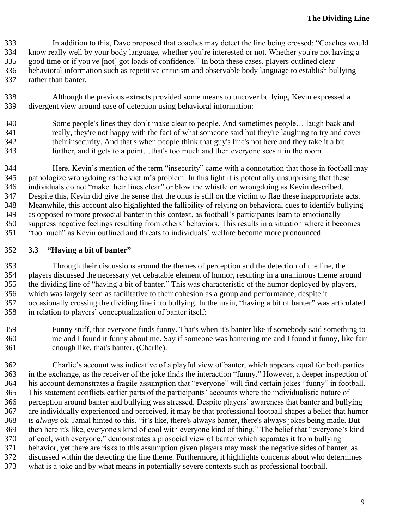In addition to this, Dave proposed that coaches may detect the line being crossed: "Coaches would know really well by your body language, whether you're interested or not. Whether you're not having a good time or if you've [not] got loads of confidence." In both these cases, players outlined clear behavioral information such as repetitive criticism and observable body language to establish bullying rather than banter.

- Although the previous extracts provided some means to uncover bullying, Kevin expressed a divergent view around ease of detection using behavioral information:
- Some people's lines they don't make clear to people. And sometimes people… laugh back and really, they're not happy with the fact of what someone said but they're laughing to try and cover their insecurity. And that's when people think that guy's line's not here and they take it a bit further, and it gets to a point…that's too much and then everyone sees it in the room.
- Here, Kevin's mention of the term "insecurity" came with a connotation that those in football may pathologize wrongdoing as the victim's problem. In this light it is potentially unsurprising that these individuals do not "make their lines clear" or blow the whistle on wrongdoing as Kevin described. Despite this, Kevin did give the sense that the onus is still on the victim to flag these inappropriate acts. Meanwhile, this account also highlighted the fallibility of relying on behavioral cues to identify bullying as opposed to more prosocial banter in this context, as football's participants learn to emotionally suppress negative feelings resulting from others' behaviors. This results in a situation where it becomes "too much" as Kevin outlined and threats to individuals' welfare become more pronounced.

#### **3.3 "Having a bit of banter"**

- Through their discussions around the themes of perception and the detection of the line, the players discussed the necessary yet debatable element of humor, resulting in a unanimous theme around the dividing line of "having a bit of banter." This was characteristic of the humor deployed by players, which was largely seen as facilitative to their cohesion as a group and performance, despite it occasionally crossing the dividing line into bullying. In the main, "having a bit of banter" was articulated in relation to players' conceptualization of banter itself:
- Funny stuff, that everyone finds funny. That's when it's banter like if somebody said something to me and I found it funny about me. Say if someone was bantering me and I found it funny, like fair enough like, that's banter. (Charlie).
- Charlie's account was indicative of a playful view of banter, which appears equal for both parties in the exchange, as the receiver of the joke finds the interaction "funny." However, a deeper inspection of his account demonstrates a fragile assumption that "everyone" will find certain jokes "funny" in football. This statement conflicts earlier parts of the participants' accounts where the individualistic nature of perception around banter and bullying was stressed. Despite players' awareness that banter and bullying are individually experienced and perceived, it may be that professional football shapes a belief that humor is *always* ok. Jamal hinted to this, "it's like, there's always banter, there's always jokes being made. But then here it's like, everyone's kind of cool with everyone kind of thing." The belief that "everyone's kind of cool, with everyone," demonstrates a prosocial view of banter which separates it from bullying behavior, yet there are risks to this assumption given players may mask the negative sides of banter, as discussed within the detecting the line theme. Furthermore, it highlights concerns about who determines what is a joke and by what means in potentially severe contexts such as professional football.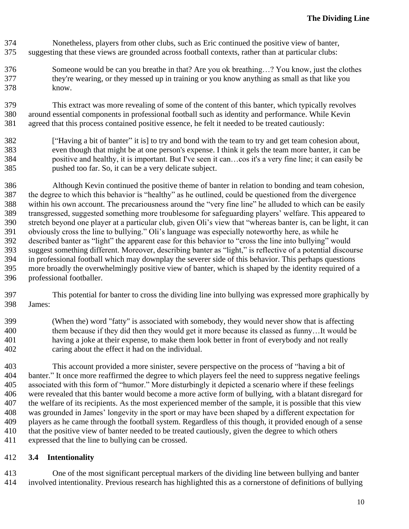- Nonetheless, players from other clubs, such as Eric continued the positive view of banter, suggesting that these views are grounded across football contexts, rather than at particular clubs:
- Someone would be can you breathe in that? Are you ok breathing…? You know, just the clothes they're wearing, or they messed up in training or you know anything as small as that like you know.

 This extract was more revealing of some of the content of this banter, which typically revolves around essential components in professional football such as identity and performance. While Kevin agreed that this process contained positive essence, he felt it needed to be treated cautiously:

- ["Having a bit of banter" it is] to try and bond with the team to try and get team cohesion about, even though that might be at one person's expense. I think it gels the team more banter, it can be positive and healthy, it is important. But I've seen it can…cos it's a very fine line; it can easily be pushed too far. So, it can be a very delicate subject.
- Although Kevin continued the positive theme of banter in relation to bonding and team cohesion, the degree to which this behavior is "healthy" as he outlined, could be questioned from the divergence within his own account. The precariousness around the "very fine line" he alluded to which can be easily transgressed, suggested something more troublesome for safeguarding players' welfare. This appeared to stretch beyond one player at a particular club, given Oli's view that "whereas banter is, can be light, it can obviously cross the line to bullying." Oli's language was especially noteworthy here, as while he described banter as "light" the apparent ease for this behavior to "cross the line into bullying" would suggest something different. Moreover, describing banter as "light," is reflective of a potential discourse in professional football which may downplay the severer side of this behavior. This perhaps questions more broadly the overwhelmingly positive view of banter, which is shaped by the identity required of a professional footballer.
- This potential for banter to cross the dividing line into bullying was expressed more graphically by James:
- (When the) word "fatty" is associated with somebody, they would never show that is affecting them because if they did then they would get it more because its classed as funny…It would be having a joke at their expense, to make them look better in front of everybody and not really caring about the effect it had on the individual.
- This account provided a more sinister, severe perspective on the process of "having a bit of banter." It once more reaffirmed the degree to which players feel the need to suppress negative feelings associated with this form of "humor." More disturbingly it depicted a scenario where if these feelings were revealed that this banter would become a more active form of bullying, with a blatant disregard for the welfare of its recipients. As the most experienced member of the sample, it is possible that this view was grounded in James' longevity in the sport or may have been shaped by a different expectation for players as he came through the football system. Regardless of this though, it provided enough of a sense that the positive view of banter needed to be treated cautiously, given the degree to which others expressed that the line to bullying can be crossed.

## **3.4 Intentionality**

 One of the most significant perceptual markers of the dividing line between bullying and banter involved intentionality. Previous research has highlighted this as a cornerstone of definitions of bullying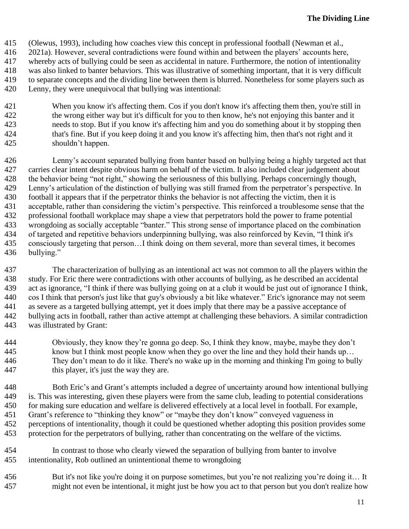- (Olewus, 1993), including how coaches view this concept in professional football (Newman et al.,
- 2021a). However, several contradictions were found within and between the players' accounts here,
- whereby acts of bullying could be seen as accidental in nature. Furthermore, the notion of intentionality
- was also linked to banter behaviors. This was illustrative of something important, that it is very difficult
- to separate concepts and the dividing line between them is blurred. Nonetheless for some players such as
	- Lenny, they were unequivocal that bullying was intentional:
	- When you know it's affecting them. Cos if you don't know it's affecting them then, you're still in the wrong either way but it's difficult for you to then know, he's not enjoying this banter and it needs to stop. But if you know it's affecting him and you do something about it by stopping then that's fine. But if you keep doing it and you know it's affecting him, then that's not right and it shouldn't happen.
- Lenny's account separated bullying from banter based on bullying being a highly targeted act that carries clear intent despite obvious harm on behalf of the victim. It also included clear judgement about the behavior being "not right," showing the seriousness of this bullying. Perhaps concerningly though, Lenny's articulation of the distinction of bullying was still framed from the perpetrator's perspective. In football it appears that if the perpetrator thinks the behavior is not affecting the victim, then it is acceptable, rather than considering the victim's perspective. This reinforced a troublesome sense that the professional football workplace may shape a view that perpetrators hold the power to frame potential wrongdoing as socially acceptable "banter." This strong sense of importance placed on the combination of targeted and repetitive behaviors underpinning bullying, was also reinforced by Kevin, "I think it's consciously targeting that person…I think doing on them several, more than several times, it becomes bullying."
- The characterization of bullying as an intentional act was not common to all the players within the study. For Eric there were contradictions with other accounts of bullying, as he described an accidental act as ignorance, "I think if there was bullying going on at a club it would be just out of ignorance I think, cos I think that person's just like that guy's obviously a bit like whatever." Eric's ignorance may not seem as severe as a targeted bullying attempt, yet it does imply that there may be a passive acceptance of bullying acts in football, rather than active attempt at challenging these behaviors. A similar contradiction was illustrated by Grant:
- Obviously, they know they're gonna go deep. So, I think they know, maybe, maybe they don't know but I think most people know when they go over the line and they hold their hands up… They don't mean to do it like. There's no wake up in the morning and thinking I'm going to bully this player, it's just the way they are.
- Both Eric's and Grant's attempts included a degree of uncertainty around how intentional bullying is. This was interesting, given these players were from the same club, leading to potential considerations for making sure education and welfare is delivered effectively at a local level in football. For example, Grant's reference to "thinking they know" or "maybe they don't know" conveyed vagueness in perceptions of intentionality, though it could be questioned whether adopting this position provides some protection for the perpetrators of bullying, rather than concentrating on the welfare of the victims.
- In contrast to those who clearly viewed the separation of bullying from banter to involve intentionality, Rob outlined an unintentional theme to wrongdoing
- But it's not like you're doing it on purpose sometimes, but you're not realizing you're doing it… It might not even be intentional, it might just be how you act to that person but you don't realize how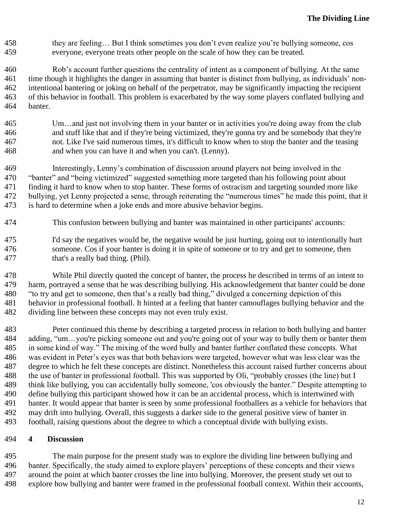they are feeling… But I think sometimes you don't even realize you're bullying someone, cos everyone, everyone treats other people on the scale of how they can be treated.

 Rob's account further questions the centrality of intent as a component of bullying. At the same time though it highlights the danger in assuming that banter is distinct from bullying, as individuals' non- intentional bantering or joking on behalf of the perpetrator, may be significantly impacting the recipient of this behavior in football. This problem is exacerbated by the way some players conflated bullying and banter.

- Um…and just not involving them in your banter or in activities you're doing away from the club and stuff like that and if they're being victimized, they're gonna try and be somebody that they're not. Like I've said numerous times, it's difficult to know when to stop the banter and the teasing and when you can have it and when you can't. (Lenny).
- Interestingly, Lenny's combination of discussion around players not being involved in the "banter" and "being victimized" suggested something more targeted than his following point about finding it hard to know when to stop banter. These forms of ostracism and targeting sounded more like bullying, yet Lenny projected a sense, through reiterating the "numerous times" he made this point, that it is hard to determine when a joke ends and more abusive behavior begins.
- This confusion between bullying and banter was maintained in other participants' accounts:
- I'd say the negatives would be, the negative would be just hurting, going out to intentionally hurt someone. Cos if your banter is doing it in spite of someone or to try and get to someone, then that's a really bad thing. (Phil).
- While Phil directly quoted the concept of banter, the process he described in terms of an intent to harm, portrayed a sense that he was describing bullying. His acknowledgement that banter could be done "to try and get to someone, then that's a really bad thing," divulged a concerning depiction of this behavior in professional football. It hinted at a feeling that banter camouflages bullying behavior and the dividing line between these concepts may not even truly exist.
- Peter continued this theme by describing a targeted process in relation to both bullying and banter adding, "um…you're picking someone out and you're going out of your way to bully them or banter them in some kind of way." The mixing of the word bully and banter further conflated these concepts. What was evident in Peter's eyes was that both behaviors were targeted, however what was less clear was the degree to which he felt these concepts are distinct. Nonetheless this account raised further concerns about the use of banter in professional football. This was supported by Oli, "probably crosses (the line) but I think like bullying, you can accidentally bully someone, 'cos obviously the banter." Despite attempting to define bullying this participant showed how it can be an accidental process, which is intertwined with banter. It would appear that banter is seen by some professional footballers as a vehicle for behaviors that may drift into bullying. Overall, this suggests a darker side to the general positive view of banter in football, raising questions about the degree to which a conceptual divide with bullying exists.

#### **4 Discussion**

 The main purpose for the present study was to explore the dividing line between bullying and banter. Specifically, the study aimed to explore players' perceptions of these concepts and their views around the point at which banter crosses the line into bullying. Moreover, the present study set out to explore how bullying and banter were framed in the professional football context. Within their accounts,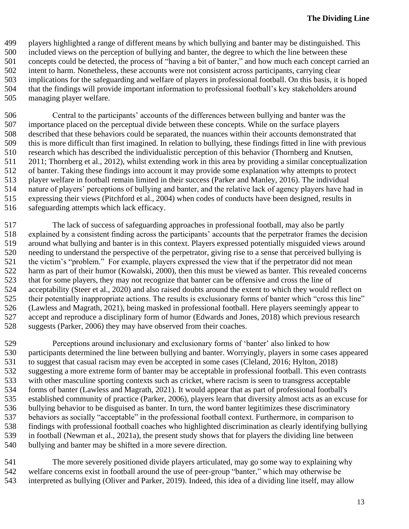- players highlighted a range of different means by which bullying and banter may be distinguished. This
- included views on the perception of bullying and banter, the degree to which the line between these
- concepts could be detected, the process of "having a bit of banter," and how much each concept carried an
- intent to harm. Nonetheless, these accounts were not consistent across participants, carrying clear
- implications for the safeguarding and welfare of players in professional football. On this basis, it is hoped that the findings will provide important information to professional football's key stakeholders around
- managing player welfare.

 Central to the participants' accounts of the differences between bullying and banter was the importance placed on the perceptual divide between these concepts. While on the surface players described that these behaviors could be separated, the nuances within their accounts demonstrated that this is more difficult than first imagined. In relation to bullying, these findings fitted in line with previous research which has described the individualistic perception of this behavior (Thornberg and Knutsen, 2011; Thornberg et al., 2012), whilst extending work in this area by providing a similar conceptualization of banter. Taking these findings into account it may provide some explanation why attempts to protect player welfare in football remain limited in their success (Parker and Manley, 2016). The individual nature of players' perceptions of bullying and banter, and the relative lack of agency players have had in expressing their views (Pitchford et al., 2004) when codes of conducts have been designed, results in safeguarding attempts which lack efficacy.

 The lack of success of safeguarding approaches in professional football, may also be partly explained by a consistent finding across the participants' accounts that the perpetrator frames the decision around what bullying and banter is in this context. Players expressed potentially misguided views around needing to understand the perspective of the perpetrator, giving rise to a sense that perceived bullying is the victim's "problem." For example, players expressed the view that if the perpetrator did not mean harm as part of their humor (Kowalski, 2000), then this must be viewed as banter. This revealed concerns that for some players, they may not recognize that banter can be offensive and cross the line of acceptability (Steer et al., 2020) and also raised doubts around the extent to which they would reflect on their potentially inappropriate actions. The results is exclusionary forms of banter which "cross this line" (Lawless and Magrath, 2021), being masked in professional football. Here players seemingly appear to accept and reproduce a disciplinary form of humor (Edwards and Jones, 2018) which previous research suggests (Parker, 2006) they may have observed from their coaches.

 Perceptions around inclusionary and exclusionary forms of 'banter' also linked to how participants determined the line between bullying and banter. Worryingly, players in some cases appeared to suggest that casual racism may even be accepted in some cases (Cleland, 2016; Hylton, 2018) suggesting a more extreme form of banter may be acceptable in professional football. This even contrasts with other masculine sporting contexts such as cricket, where racism is seen to transgress acceptable forms of banter (Lawless and Magrath, 2021). It would appear that as part of professional football's established community of practice (Parker, 2006), players learn that diversity almost acts as an excuse for bullying behavior to be disguised as banter. In turn, the word banter legitimizes these discriminatory behaviors as socially "acceptable" in the professional football context. Furthermore, in comparison to findings with professional football coaches who highlighted discrimination as clearly identifying bullying in football (Newman et al., 2021a), the present study shows that for players the dividing line between bullying and banter may be shifted in a more severe direction.

 The more severely positioned divide players articulated, may go some way to explaining why welfare concerns exist in football around the use of peer-group "banter," which may otherwise be interpreted as bullying (Oliver and Parker, 2019). Indeed, this idea of a dividing line itself, may allow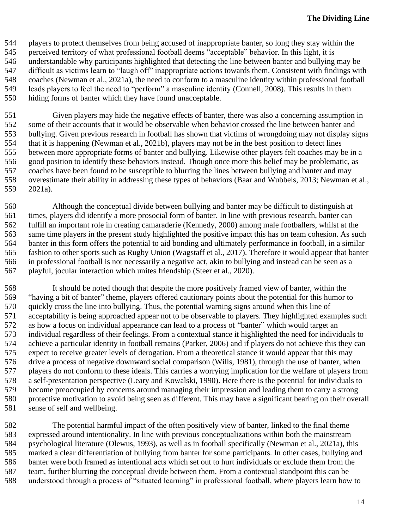players to protect themselves from being accused of inappropriate banter, so long they stay within the perceived territory of what professional football deems "acceptable" behavior. In this light, it is understandable why participants highlighted that detecting the line between banter and bullying may be difficult as victims learn to "laugh off" inappropriate actions towards them. Consistent with findings with coaches (Newman et al., 2021a), the need to conform to a masculine identity within professional football leads players to feel the need to "perform" a masculine identity (Connell, 2008). This results in them hiding forms of banter which they have found unacceptable.

 Given players may hide the negative effects of banter, there was also a concerning assumption in some of their accounts that it would be observable when behavior crossed the line between banter and bullying. Given previous research in football has shown that victims of wrongdoing may not display signs that it is happening (Newman et al., 2021b), players may not be in the best position to detect lines between more appropriate forms of banter and bullying. Likewise other players felt coaches may be in a good position to identify these behaviors instead. Though once more this belief may be problematic, as coaches have been found to be susceptible to blurring the lines between bullying and banter and may overestimate their ability in addressing these types of behaviors (Baar and Wubbels, 2013; Newman et al., 2021a).

 Although the conceptual divide between bullying and banter may be difficult to distinguish at times, players did identify a more prosocial form of banter. In line with previous research, banter can fulfill an important role in creating camaraderie (Kennedy, 2000) among male footballers, whilst at the same time players in the present study highlighted the positive impact this has on team cohesion. As such banter in this form offers the potential to aid bonding and ultimately performance in football, in a similar fashion to other sports such as Rugby Union (Wagstaff et al., 2017). Therefore it would appear that banter in professional football is not necessarily a negative act, akin to bullying and instead can be seen as a playful, jocular interaction which unites friendship (Steer et al., 2020).

 It should be noted though that despite the more positively framed view of banter, within the "having a bit of banter" theme, players offered cautionary points about the potential for this humor to quickly cross the line into bullying. Thus, the potential warning signs around when this line of acceptability is being approached appear not to be observable to players. They highlighted examples such as how a focus on individual appearance can lead to a process of "banter" which would target an individual regardless of their feelings. From a contextual stance it highlighted the need for individuals to achieve a particular identity in football remains (Parker, 2006) and if players do not achieve this they can expect to receive greater levels of derogation. From a theoretical stance it would appear that this may drive a process of negative downward social comparison (Wills, 1981), through the use of banter, when players do not conform to these ideals. This carries a worrying implication for the welfare of players from a self-presentation perspective (Leary and Kowalski, 1990). Here there is the potential for individuals to become preoccupied by concerns around managing their impression and leading them to carry a strong protective motivation to avoid being seen as different. This may have a significant bearing on their overall sense of self and wellbeing.

 The potential harmful impact of the often positively view of banter, linked to the final theme expressed around intentionality. In line with previous conceptualizations within both the mainstream psychological literature (Olewus, 1993), as well as in football specifically (Newman et al., 2021a), this marked a clear differentiation of bullying from banter for some participants. In other cases, bullying and banter were both framed as intentional acts which set out to hurt individuals or exclude them from the team, further blurring the conceptual divide between them. From a contextual standpoint this can be understood through a process of "situated learning" in professional football, where players learn how to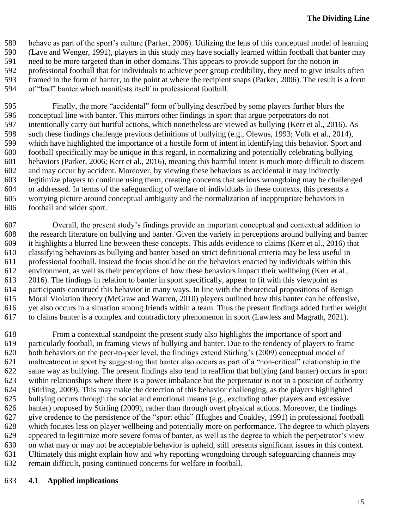behave as part of the sport's culture (Parker, 2006). Utilizing the lens of this conceptual model of learning (Lave and Wenger, 1991), players in this study may have socially learned within football that banter may need to be more targeted than in other domains. This appears to provide support for the notion in professional football that for individuals to achieve peer group credibility, they need to give insults often framed in the form of banter, to the point at where the recipient snaps (Parker, 2006). The result is a form of "bad" banter which manifests itself in professional football.

 Finally, the more "accidental" form of bullying described by some players further blurs the conceptual line with banter. This mirrors other findings in sport that argue perpetrators do not intentionally carry out hurtful actions, which nonetheless are viewed as bullying (Kerr et al., 2016). As such these findings challenge previous definitions of bullying (e.g., Olewus, 1993; Volk et al., 2014), which have highlighted the importance of a hostile form of intent in identifying this behavior. Sport and football specifically may be unique in this regard, in normalizing and potentially celebrating bullying behaviors (Parker, 2006; Kerr et al., 2016), meaning this harmful intent is much more difficult to discern and may occur by accident. Moreover, by viewing these behaviors as accidental it may indirectly legitimize players to continue using them, creating concerns that serious wrongdoing may be challenged or addressed. In terms of the safeguarding of welfare of individuals in these contexts, this presents a worrying picture around conceptual ambiguity and the normalization of inappropriate behaviors in football and wider sport.

 Overall, the present study's findings provide an important conceptual and contextual addition to the research literature on bullying and banter. Given the variety in perceptions around bullying and banter it highlights a blurred line between these concepts. This adds evidence to claims (Kerr et al., 2016) that classifying behaviors as bullying and banter based on strict definitional criteria may be less useful in professional football. Instead the focus should be on the behaviors enacted by individuals within this environment, as well as their perceptions of how these behaviors impact their wellbeing (Kerr et al., 2016). The findings in relation to banter in sport specifically, appear to fit with this viewpoint as participants construed this behavior in many ways. In line with the theoretical propositions of Benign Moral Violation theory (McGraw and Warren, 2010) players outlined how this banter can be offensive, yet also occurs in a situation among friends within a team. Thus the present findings added further weight to claims banter is a complex and contradictory phenomenon in sport (Lawless and Magrath, 2021).

 From a contextual standpoint the present study also highlights the importance of sport and particularly football, in framing views of bullying and banter. Due to the tendency of players to frame both behaviors on the peer-to-peer level, the findings extend Stirling's (2009) conceptual model of maltreatment in sport by suggesting that banter also occurs as part of a "non-critical" relationship in the same way as bullying. The present findings also tend to reaffirm that bullying (and banter) occurs in sport within relationships where there is a power imbalance but the perpetrator is not in a position of authority (Stirling, 2009). This may make the detection of this behavior challenging, as the players highlighted bullying occurs through the social and emotional means (e.g., excluding other players and excessive banter) proposed by Stirling (2009), rather than through overt physical actions. Moreover, the findings give credence to the persistence of the "sport ethic" (Hughes and Coakley, 1991) in professional football which focuses less on player wellbeing and potentially more on performance. The degree to which players appeared to legitimize more severe forms of banter, as well as the degree to which the perpetrator's view on what may or may not be acceptable behavior is upheld, still presents significant issues in this context. Ultimately this might explain how and why reporting wrongdoing through safeguarding channels may remain difficult, posing continued concerns for welfare in football.

#### **4.1 Applied implications**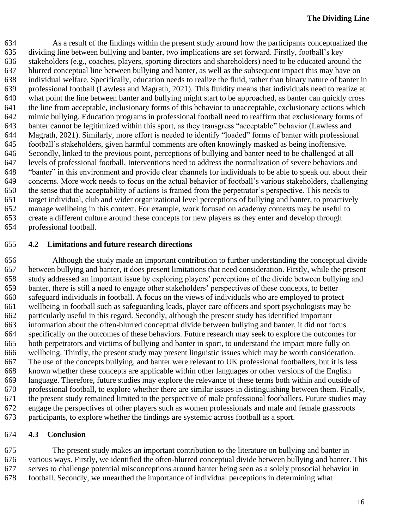As a result of the findings within the present study around how the participants conceptualized the dividing line between bullying and banter, two implications are set forward. Firstly, football's key stakeholders (e.g., coaches, players, sporting directors and shareholders) need to be educated around the blurred conceptual line between bullying and banter, as well as the subsequent impact this may have on individual welfare. Specifically, education needs to realize the fluid, rather than binary nature of banter in professional football (Lawless and Magrath, 2021). This fluidity means that individuals need to realize at what point the line between banter and bullying might start to be approached, as banter can quickly cross the line from acceptable, inclusionary forms of this behavior to unacceptable, exclusionary actions which mimic bullying. Education programs in professional football need to reaffirm that exclusionary forms of banter cannot be legitimized within this sport, as they transgress "acceptable" behavior (Lawless and Magrath, 2021). Similarly, more effort is needed to identify "loaded" forms of banter with professional football's stakeholders, given harmful comments are often knowingly masked as being inoffensive. Secondly, linked to the previous point, perceptions of bullying and banter need to be challenged at all levels of professional football. Interventions need to address the normalization of severe behaviors and "banter" in this environment and provide clear channels for individuals to be able to speak out about their concerns. More work needs to focus on the actual behavior of football's various stakeholders, challenging the sense that the acceptability of actions is framed from the perpetrator's perspective. This needs to target individual, club and wider organizational level perceptions of bullying and banter, to proactively manage wellbeing in this context. For example, work focused on academy contexts may be useful to create a different culture around these concepts for new players as they enter and develop through professional football.

#### **4.2 Limitations and future research directions**

 Although the study made an important contribution to further understanding the conceptual divide between bullying and banter, it does present limitations that need consideration. Firstly, while the present study addressed an important issue by exploring players' perceptions of the divide between bullying and banter, there is still a need to engage other stakeholders' perspectives of these concepts, to better safeguard individuals in football. A focus on the views of individuals who are employed to protect wellbeing in football such as safeguarding leads, player care officers and sport psychologists may be particularly useful in this regard. Secondly, although the present study has identified important information about the often-blurred conceptual divide between bullying and banter, it did not focus specifically on the outcomes of these behaviors. Future research may seek to explore the outcomes for both perpetrators and victims of bullying and banter in sport, to understand the impact more fully on wellbeing. Thirdly, the present study may present linguistic issues which may be worth consideration. The use of the concepts bullying, and banter were relevant to UK professional footballers, but it is less known whether these concepts are applicable within other languages or other versions of the English language. Therefore, future studies may explore the relevance of these terms both within and outside of professional football, to explore whether there are similar issues in distinguishing between them. Finally, the present study remained limited to the perspective of male professional footballers. Future studies may engage the perspectives of other players such as women professionals and male and female grassroots participants, to explore whether the findings are systemic across football as a sport.

#### **4.3 Conclusion**

 The present study makes an important contribution to the literature on bullying and banter in various ways. Firstly, we identified the often-blurred conceptual divide between bullying and banter. This serves to challenge potential misconceptions around banter being seen as a solely prosocial behavior in football. Secondly, we unearthed the importance of individual perceptions in determining what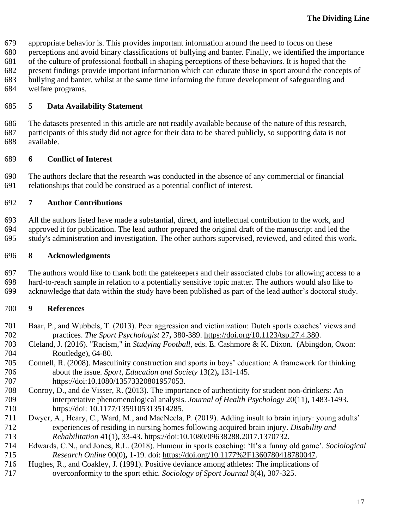appropriate behavior is. This provides important information around the need to focus on these

perceptions and avoid binary classifications of bullying and banter. Finally, we identified the importance

of the culture of professional football in shaping perceptions of these behaviors. It is hoped that the

present findings provide important information which can educate those in sport around the concepts of

bullying and banter, whilst at the same time informing the future development of safeguarding and

welfare programs.

#### **5 Data Availability Statement**

 The datasets presented in this article are not readily available because of the nature of this research, participants of this study did not agree for their data to be shared publicly, so supporting data is not available.

#### **6 Conflict of Interest**

 The authors declare that the research was conducted in the absence of any commercial or financial relationships that could be construed as a potential conflict of interest.

## **7 Author Contributions**

 All the authors listed have made a substantial, direct, and intellectual contribution to the work, and approved it for publication. The lead author prepared the original draft of the manuscript and led the study's administration and investigation. The other authors supervised, reviewed, and edited this work.

#### **8 Acknowledgments**

 The authors would like to thank both the gatekeepers and their associated clubs for allowing access to a hard-to-reach sample in relation to a potentially sensitive topic matter. The authors would also like to acknowledge that data within the study have been published as part of the lead author's doctoral study.

## **9 References**

- Baar, P., and Wubbels, T. (2013). Peer aggression and victimization: Dutch sports coaches' views and practices. *The Sport Psychologist* 27**,** 380-389. [https://doi.org/10.1123/tsp.27.4.380.](https://doi.org/10.1123/tsp.27.4.380)
- Cleland, J. (2016). "Racism," in *Studying Football,* eds. E. Cashmore & K. Dixon. (Abingdon, Oxon: Routledge), 64-80.
- Connell, R. (2008). Masculinity construction and sports in boys' education: A framework for thinking about the issue. *Sport, Education and Society* 13(2)**,** 131-145. 707 https://doi:10.1080/13573320801957053.
- Conroy, D., and de Visser, R. (2013). The importance of authenticity for student non-drinkers: An interpretative phenomenological analysis. *Journal of Health Psychology* 20(11)**,** 1483-1493. https://doi: 10.1177/1359105313514285.
- Dwyer, A., Heary, C., Ward, M., and MacNeela, P. (2019). Adding insult to brain injury: young adults' experiences of residing in nursing homes following acquired brain injury. *Disability and Rehabilitation* 41(1)**,** 33-43. https://doi:10.1080/09638288.2017.1370732.
- Edwards, C.N., and Jones, R.L. (2018). Humour in sports coaching: 'It's a funny old game'. *Sociological Research Online* 00(0)**,** 1-19. doi: [https://doi.org/10.1177%2F1360780418780047.](https://doi.org/10.1177%2F1360780418780047)
- Hughes, R., and Coakley, J. (1991). Positive deviance among athletes: The implications of overconformity to the sport ethic. *Sociology of Sport Journal* 8(4)**,** 307-325.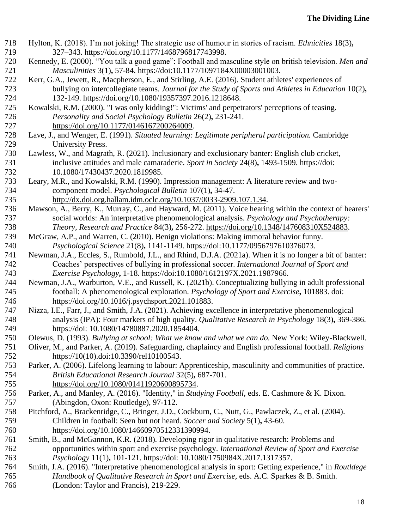Hylton, K. (2018). I'm not joking! The strategic use of humour in stories of racism. *Ethnicities* 18(3)**,** 327–343. [https://doi.org/10.1177/1468796817743998.](https://doi.org/10.1177/1468796817743998) Kennedy, E. (2000). "You talk a good game": Football and masculine style on british television. *Men and Masculinities* 3(1)**,** 57-84. https://doi:10.1177/1097184X00003001003. Kerr, G.A., Jewett, R., Macpherson, E., and Stirling, A.E. (2016). Student athletes' experiences of bullying on intercollegiate teams. *Journal for the Study of Sports and Athletes in Education* 10(2)**,** 132-149. https://doi.org/10.1080/19357397.2016.1218648. Kowalski, R.M. (2000). "I was only kidding!": Victims' and perpetrators' perceptions of teasing. *Personality and Social Psychology Bulletin* 26(2)**,** 231-241. [https://doi.org/10.1177/0146167200264009.](https://doi.org/10.1177/0146167200264009) Lave, J., and Wenger, E. (1991). *Situated learning: Legitimate peripheral participation.* Cambridge University Press. Lawless, W., and Magrath, R. (2021). Inclusionary and exclusionary banter: English club cricket, inclusive attitudes and male camaraderie. *Sport in Society* 24(8)**,** 1493-1509. https://doi: 10.1080/17430437.2020.1819985. Leary, M.R., and Kowalski, R.M. (1990). Impression management: A literature review and two- component model. *Psychological Bulletin* 107(1)**,** 34-47. [http://dx.doi.org.hallam.idm.oclc.org/10.1037/0033-2909.107.1.34.](http://dx.doi.org.hallam.idm.oclc.org/10.1037/0033-2909.107.1.34) Mawson, A., Berry, K., Murray, C., and Hayward, M. (2011). Voice hearing within the context of hearers' social worlds: An interpretative phenomenological analysis. *Psychology and Psychotherapy: Theory, Research and Practice* 84(3)**,** 256-272. [https://doi.org/10.1348/147608310X524883.](https://doi.org/10.1348/147608310X524883) McGraw, A.P., and Warren, C. (2010). Benign violations: Making immoral behavior funny. *Psychological Science* 21(8)**,** 1141-1149. https://doi:10.1177/0956797610376073. Newman, J.A., Eccles, S., Rumbold, J.L., and Rhind, D.J.A. (2021a). When it is no longer a bit of banter: Coaches' perspectives of bullying in professional soccer. *International Journal of Sport and Exercise Psychology***,** 1-18. https://doi:10.1080/1612197X.2021.1987966. Newman, J.A., Warburton, V.E., and Russell, K. (2021b). Conceptualizing bullying in adult professional football: A phenomenological exploration. *Psychology of Sport and Exercise***,** 101883. doi: [https://doi.org/10.1016/j.psychsport.2021.101883.](https://doi.org/10.1016/j.psychsport.2021.101883) Nizza, I.E., Farr, J., and Smith, J.A. (2021). Achieving excellence in interpretative phenomenological analysis (IPA): Four markers of high quality. *Qualitative Research in Psychology* 18(3)**,** 369-386. https://doi: 10.1080/14780887.2020.1854404. Olewus, D. (1993). *Bullying at school: What we know and what we can do.* New York: Wiley-Blackwell. Oliver, M., and Parker, A. (2019). Safeguarding, chaplaincy and English professional football. *Religions* https://10(10).doi:10.3390/rel10100543. Parker, A. (2006). Lifelong learning to labour: Apprenticeship, masculinity and communities of practice. *British Educational Research Journal* 32(5)**,** 687-701. [https://doi.org/10.1080/01411920600895734.](https://doi.org/10.1080/01411920600895734) Parker, A., and Manley, A. (2016). "Identity," in *Studying Football,* eds. E. Cashmore & K. Dixon. (Abingdon, Oxon: Routledge), 97-112. Pitchford, A., Brackenridge, C., Bringer, J.D., Cockburn, C., Nutt, G., Pawlaczek, Z., et al. (2004). Children in football: Seen but not heard. *Soccer and Society* 5(1)**,** 43-60. [https://doi.org/10.1080/14660970512331390994.](https://doi.org/10.1080/14660970512331390994) Smith, B., and McGannon, K.R. (2018). Developing rigor in qualitative research: Problems and opportunities within sport and exercise psychology. *International Review of Sport and Exercise Psychology* 11(1)**,** 101-121. https://doi: 10.1080/1750984X.2017.1317357. Smith, J.A. (2016). "Interpretative phenomenological analysis in sport: Getting experience," in *Routldege Handbook of Qualitative Research in Sport and Exercise,* eds. A.C. Sparkes & B. Smith. (London: Taylor and Francis), 219-229.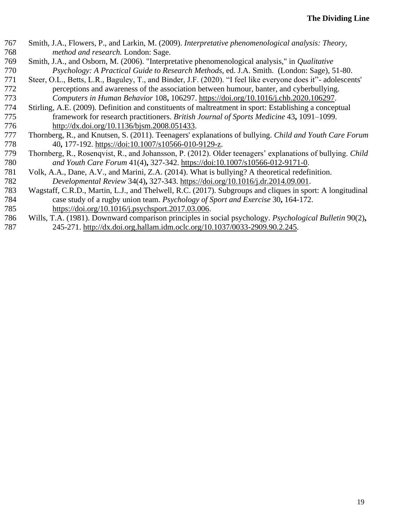| 767 | Smith, J.A., Flowers, P., and Larkin, M. (2009). Interpretative phenomenological analysis: Theory,           |
|-----|--------------------------------------------------------------------------------------------------------------|
| 768 | method and research. London: Sage.                                                                           |
| 769 | Smith, J.A., and Osborn, M. (2006). "Interpretative phenomenological analysis," in <i>Qualitative</i>        |
| 770 | Psychology: A Practical Guide to Research Methods, ed. J.A. Smith. (London: Sage), 51-80.                    |
| 771 | Steer, O.L., Betts, L.R., Baguley, T., and Binder, J.F. (2020). "I feel like everyone does it"- adolescents' |
| 772 | perceptions and awareness of the association between humour, banter, and cyberbullying.                      |
| 773 | Computers in Human Behavior 108, 106297. https://doi.org/10.1016/j.chb.2020.106297.                          |
| 774 | Stirling, A.E. (2009). Definition and constituents of maltreatment in sport: Establishing a conceptual       |
| 775 | framework for research practitioners. British Journal of Sports Medicine 43, 1091–1099.                      |
| 776 | http://dx.doi.org/10.1136/bjsm.2008.051433.                                                                  |
| 777 | Thornberg, R., and Knutsen, S. (2011). Teenagers' explanations of bullying. Child and Youth Care Forum       |
| 778 | 40, 177-192. https://doi:10.1007/s10566-010-9129-z.                                                          |
| 779 | Thornberg, R., Rosenqvist, R., and Johansson, P. (2012). Older teenagers' explanations of bullying. Child    |
| 780 | and Youth Care Forum 41(4), 327-342. https://doi:10.1007/s10566-012-9171-0.                                  |
| 781 | Volk, A.A., Dane, A.V., and Marini, Z.A. (2014). What is bullying? A theoretical redefinition.               |
| 782 | Developmental Review 34(4), 327-343. https://doi.org/10.1016/j.dr.2014.09.001.                               |
| 783 | Wagstaff, C.R.D., Martin, L.J., and Thelwell, R.C. (2017). Subgroups and cliques in sport: A longitudinal    |
| 784 | case study of a rugby union team. <i>Psychology of Sport and Exercise</i> 30, 164-172.                       |
| 785 | https://doi.org/10.1016/j.psychsport.2017.03.006.                                                            |
| 786 | Wills, T.A. (1981). Downward comparison principles in social psychology. Psychological Bulletin 90(2),       |
| 787 | 245-271. http://dx.doi.org.hallam.idm.oclc.org/10.1037/0033-2909.90.2.245.                                   |